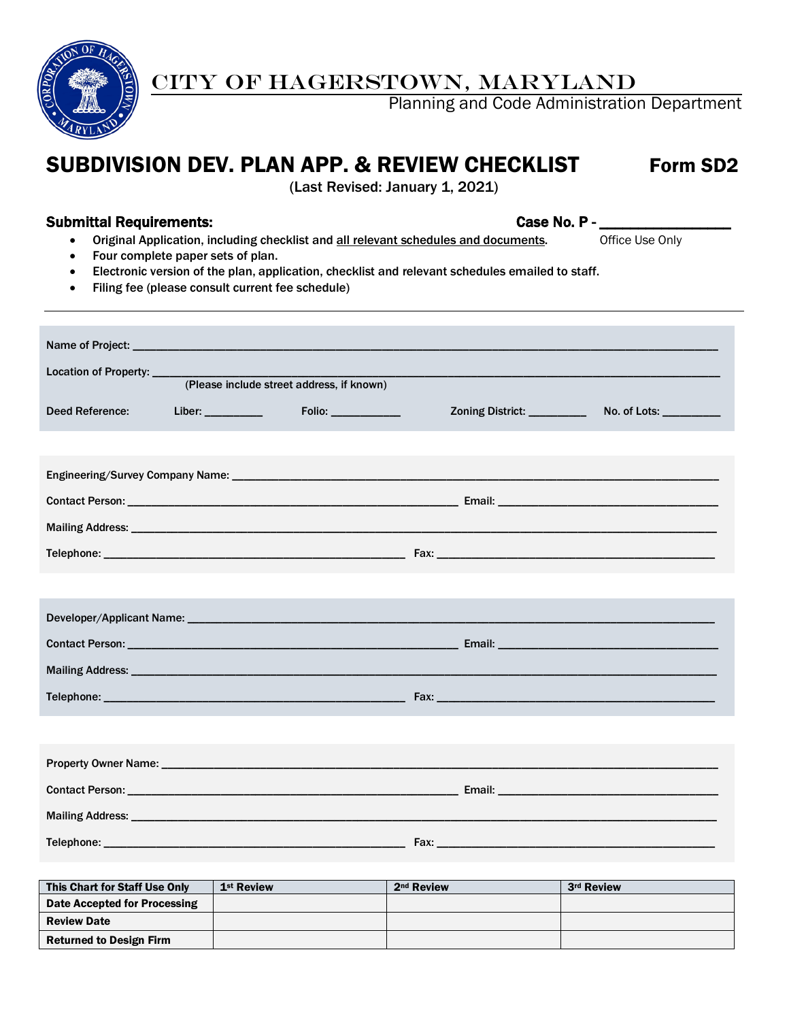

# CITY OF HAGERSTOWN, MARYLAND

Planning and Code Administration Department

# SUBDIVISION DEV. PLAN APP. & REVIEW CHECKLIST Form SD2

(Last Revised: January 1, 2021)

#### Submittal Requirements: Case No. P - \_ \_ \_ \_ \_ \_ \_ \_ \_ \_ \_ \_ \_ \_ \_ Case No. P - \_

- Original Application, including checklist and all relevant schedules and documents. Office Use Only
- Four complete paper sets of plan.
- Electronic version of the plan, application, checklist and relevant schedules emailed to staff.
- Filing fee (please consult current fee schedule)

| Location of Property: ____ |                     |                                           |                              |                         |
|----------------------------|---------------------|-------------------------------------------|------------------------------|-------------------------|
|                            |                     | (Please include street address, if known) |                              |                         |
| <b>Deed Reference:</b>     | Liber: ____________ |                                           | Zoning District: ___________ | No. of Lots: __________ |
|                            |                     |                                           |                              |                         |
|                            |                     |                                           |                              |                         |
|                            |                     |                                           |                              |                         |
|                            |                     |                                           |                              |                         |
|                            |                     |                                           |                              |                         |
|                            |                     |                                           |                              |                         |
|                            |                     |                                           |                              |                         |
|                            |                     |                                           |                              |                         |
|                            |                     |                                           |                              |                         |
|                            |                     |                                           |                              |                         |
|                            |                     |                                           |                              |                         |
|                            |                     |                                           |                              |                         |
|                            |                     |                                           |                              |                         |
|                            |                     |                                           |                              |                         |
|                            |                     |                                           |                              |                         |
|                            |                     |                                           |                              |                         |

| <b>This Chart for Staff Use Only</b> | 1 <sup>st</sup> Review | 2 <sup>nd</sup> Review | 3rd Review |
|--------------------------------------|------------------------|------------------------|------------|
| Date Accepted for Processing         |                        |                        |            |
| <b>Review Date</b>                   |                        |                        |            |
| <b>Returned to Design Firm</b>       |                        |                        |            |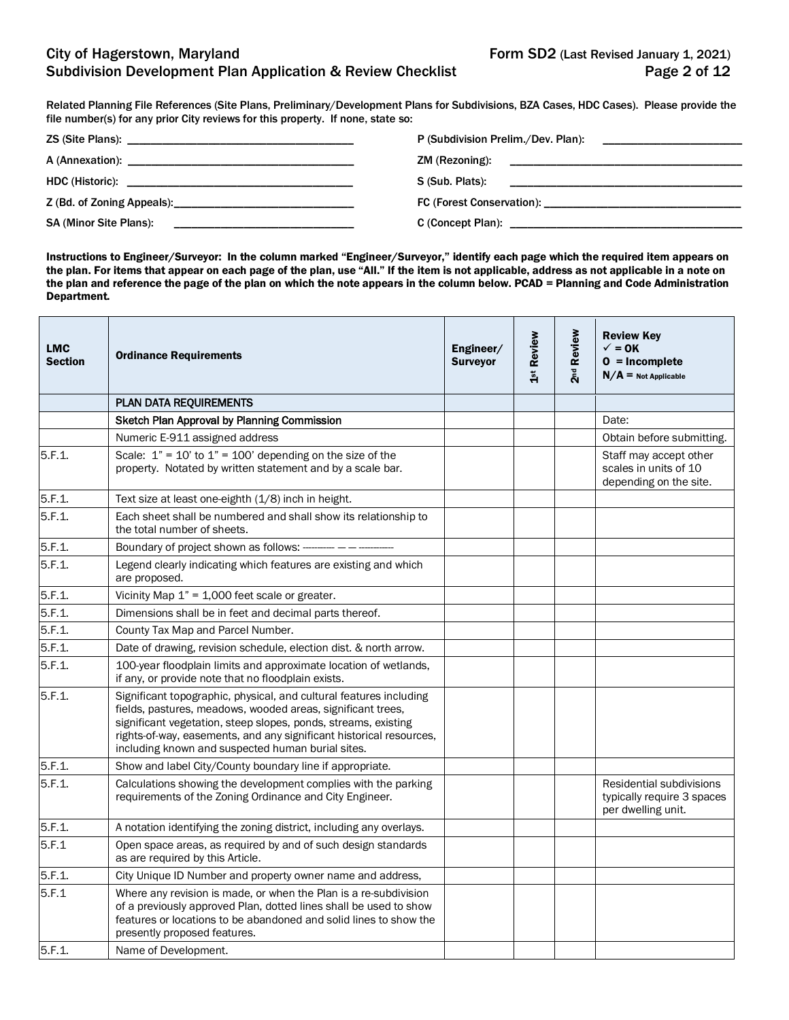Related Planning File References (Site Plans, Preliminary/Development Plans for Subdivisions, BZA Cases, HDC Cases). Please provide the file number(s) for any prior City reviews for this property. If none, state so:

|                                                                                 | ZM (Rezoning):                                                                                                  |
|---------------------------------------------------------------------------------|-----------------------------------------------------------------------------------------------------------------|
|                                                                                 |                                                                                                                 |
| Z (Bd. of Zoning Appeals): 2014                                                 |                                                                                                                 |
| <b>SA (Minor Site Plans):</b><br><u> 1980 - Jan Sterling Sterling (f. 1980)</u> | C (Concept Plan): Example 2014 19:30 and 2014 19:30 and 2014 19:30 and 2014 19:30 and 2014 19:30 and 2014 19:30 |

Instructions to Engineer/Surveyor: In the column marked "Engineer/Surveyor," identify each page which the required item appears on the plan. For items that appear on each page of the plan, use "All." If the item is not applicable, address as not applicable in a note on the plan and reference the page of the plan on which the note appears in the column below. PCAD = Planning and Code Administration Department.

| <b>LMC</b><br><b>Section</b> | <b>Ordinance Requirements</b>                                                                                                                                                                                                                                                                                                   | Engineer/<br><b>Surveyor</b> | 1st Review | 2 <sup>nd</sup> Review | <b>Review Key</b><br>$\checkmark$ = 0K<br>$0 = Incomplete$<br>$N/A =$ Not Applicable |
|------------------------------|---------------------------------------------------------------------------------------------------------------------------------------------------------------------------------------------------------------------------------------------------------------------------------------------------------------------------------|------------------------------|------------|------------------------|--------------------------------------------------------------------------------------|
|                              | PLAN DATA REQUIREMENTS                                                                                                                                                                                                                                                                                                          |                              |            |                        |                                                                                      |
|                              | Sketch Plan Approval by Planning Commission                                                                                                                                                                                                                                                                                     |                              |            |                        | Date:                                                                                |
|                              | Numeric E-911 assigned address                                                                                                                                                                                                                                                                                                  |                              |            |                        | Obtain before submitting.                                                            |
| 5.F.1.                       | Scale: $1" = 10'$ to $1" = 100'$ depending on the size of the<br>property. Notated by written statement and by a scale bar.                                                                                                                                                                                                     |                              |            |                        | Staff may accept other<br>scales in units of 10<br>depending on the site.            |
| 5.F.1.                       | Text size at least one-eighth (1/8) inch in height.                                                                                                                                                                                                                                                                             |                              |            |                        |                                                                                      |
| 5.F.1                        | Each sheet shall be numbered and shall show its relationship to<br>the total number of sheets.                                                                                                                                                                                                                                  |                              |            |                        |                                                                                      |
| 5.F.1.                       | Boundary of project shown as follows: ---------- - - -------                                                                                                                                                                                                                                                                    |                              |            |                        |                                                                                      |
| 5.F.1.                       | Legend clearly indicating which features are existing and which<br>are proposed.                                                                                                                                                                                                                                                |                              |            |                        |                                                                                      |
| 5.F.1.                       | Vicinity Map $1" = 1,000$ feet scale or greater.                                                                                                                                                                                                                                                                                |                              |            |                        |                                                                                      |
| 5.F.1.                       | Dimensions shall be in feet and decimal parts thereof.                                                                                                                                                                                                                                                                          |                              |            |                        |                                                                                      |
| 5.F.1                        | County Tax Map and Parcel Number.                                                                                                                                                                                                                                                                                               |                              |            |                        |                                                                                      |
| 5.F.1.                       | Date of drawing, revision schedule, election dist. & north arrow.                                                                                                                                                                                                                                                               |                              |            |                        |                                                                                      |
| 5.F.1.                       | 100-year floodplain limits and approximate location of wetlands,<br>if any, or provide note that no floodplain exists.                                                                                                                                                                                                          |                              |            |                        |                                                                                      |
| 5.F.1.                       | Significant topographic, physical, and cultural features including<br>fields, pastures, meadows, wooded areas, significant trees,<br>significant vegetation, steep slopes, ponds, streams, existing<br>rights-of-way, easements, and any significant historical resources,<br>including known and suspected human burial sites. |                              |            |                        |                                                                                      |
| 5.F.1.                       | Show and label City/County boundary line if appropriate.                                                                                                                                                                                                                                                                        |                              |            |                        |                                                                                      |
| 5.F.1.                       | Calculations showing the development complies with the parking<br>requirements of the Zoning Ordinance and City Engineer.                                                                                                                                                                                                       |                              |            |                        | Residential subdivisions<br>typically require 3 spaces<br>per dwelling unit.         |
| 5.F.1.                       | A notation identifying the zoning district, including any overlays.                                                                                                                                                                                                                                                             |                              |            |                        |                                                                                      |
| 5.F.1                        | Open space areas, as required by and of such design standards<br>as are required by this Article.                                                                                                                                                                                                                               |                              |            |                        |                                                                                      |
| 5.F.1.                       | City Unique ID Number and property owner name and address,                                                                                                                                                                                                                                                                      |                              |            |                        |                                                                                      |
| 5.F.1                        | Where any revision is made, or when the Plan is a re-subdivision<br>of a previously approved Plan, dotted lines shall be used to show<br>features or locations to be abandoned and solid lines to show the<br>presently proposed features.                                                                                      |                              |            |                        |                                                                                      |
| 5.F.1                        | Name of Development.                                                                                                                                                                                                                                                                                                            |                              |            |                        |                                                                                      |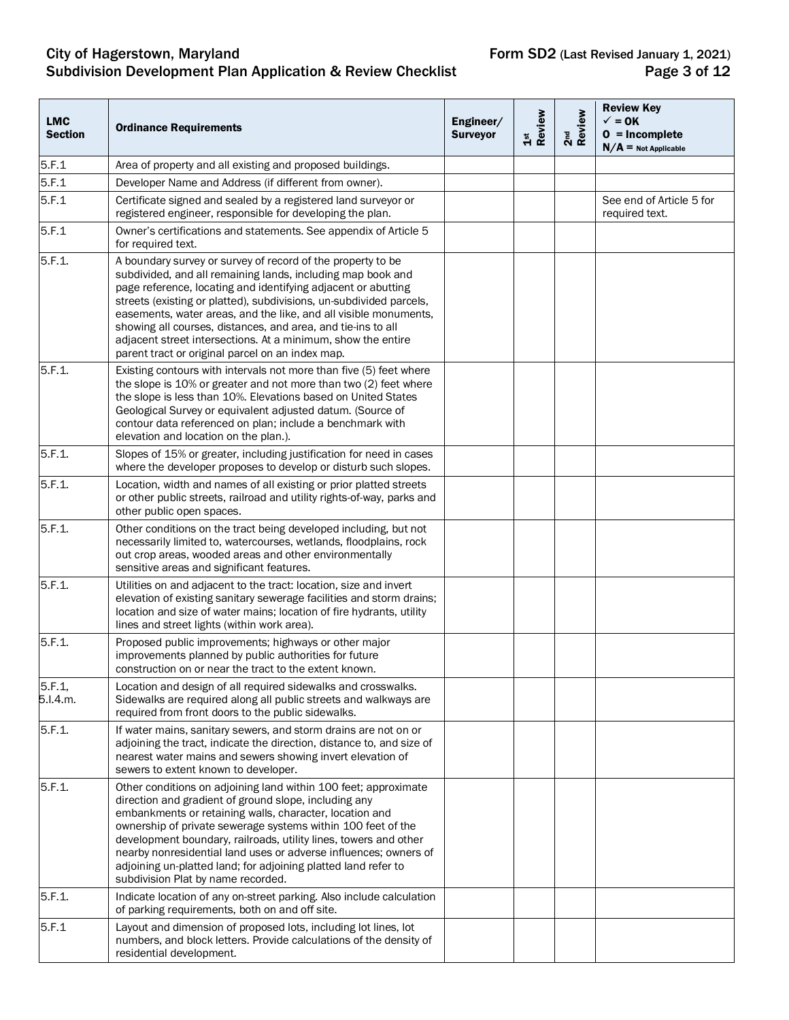## City of Hagerstown, Maryland **Form SD2** (Last Revised January 1, 2021) Subdivision Development Plan Application & Review Checklist **Page 3 of 12** Page 3 of 12

| <b>LMC</b><br><b>Section</b> | <b>Ordinance Requirements</b>                                                                                                                                                                                                                                                                                                                                                                                                                                                                                              | Engineer/<br><b>Surveyor</b> | 1st<br>Review | 2 <sup>nd</sup><br>Review | <b>Review Key</b><br>$\checkmark$ = 0K<br>$0 = Incomplete$<br>$N/A$ = Not Applicable |
|------------------------------|----------------------------------------------------------------------------------------------------------------------------------------------------------------------------------------------------------------------------------------------------------------------------------------------------------------------------------------------------------------------------------------------------------------------------------------------------------------------------------------------------------------------------|------------------------------|---------------|---------------------------|--------------------------------------------------------------------------------------|
| 5.F.1                        | Area of property and all existing and proposed buildings.                                                                                                                                                                                                                                                                                                                                                                                                                                                                  |                              |               |                           |                                                                                      |
| 5.F.1                        | Developer Name and Address (if different from owner).                                                                                                                                                                                                                                                                                                                                                                                                                                                                      |                              |               |                           |                                                                                      |
| 5.F.1                        | Certificate signed and sealed by a registered land surveyor or<br>registered engineer, responsible for developing the plan.                                                                                                                                                                                                                                                                                                                                                                                                |                              |               |                           | See end of Article 5 for<br>required text.                                           |
| 5.F.1                        | Owner's certifications and statements. See appendix of Article 5<br>for required text.                                                                                                                                                                                                                                                                                                                                                                                                                                     |                              |               |                           |                                                                                      |
| 5.F.1.                       | A boundary survey or survey of record of the property to be<br>subdivided, and all remaining lands, including map book and<br>page reference, locating and identifying adjacent or abutting<br>streets (existing or platted), subdivisions, un-subdivided parcels,<br>easements, water areas, and the like, and all visible monuments,<br>showing all courses, distances, and area, and tie-ins to all<br>adjacent street intersections. At a minimum, show the entire<br>parent tract or original parcel on an index map. |                              |               |                           |                                                                                      |
| 5.F.1.                       | Existing contours with intervals not more than five (5) feet where<br>the slope is 10% or greater and not more than two (2) feet where<br>the slope is less than 10%. Elevations based on United States<br>Geological Survey or equivalent adjusted datum. (Source of<br>contour data referenced on plan; include a benchmark with<br>elevation and location on the plan.).                                                                                                                                                |                              |               |                           |                                                                                      |
| 5.F.1.                       | Slopes of 15% or greater, including justification for need in cases<br>where the developer proposes to develop or disturb such slopes.                                                                                                                                                                                                                                                                                                                                                                                     |                              |               |                           |                                                                                      |
| 5.F.1.                       | Location, width and names of all existing or prior platted streets<br>or other public streets, railroad and utility rights-of-way, parks and<br>other public open spaces.                                                                                                                                                                                                                                                                                                                                                  |                              |               |                           |                                                                                      |
| 5.F.1.                       | Other conditions on the tract being developed including, but not<br>necessarily limited to, watercourses, wetlands, floodplains, rock<br>out crop areas, wooded areas and other environmentally<br>sensitive areas and significant features.                                                                                                                                                                                                                                                                               |                              |               |                           |                                                                                      |
| 5.F.1.                       | Utilities on and adjacent to the tract: location, size and invert<br>elevation of existing sanitary sewerage facilities and storm drains;<br>location and size of water mains; location of fire hydrants, utility<br>lines and street lights (within work area).                                                                                                                                                                                                                                                           |                              |               |                           |                                                                                      |
| 5.F.1.                       | Proposed public improvements; highways or other major<br>improvements planned by public authorities for future<br>construction on or near the tract to the extent known.                                                                                                                                                                                                                                                                                                                                                   |                              |               |                           |                                                                                      |
| 5.F.1,<br>5.I.4.m.           | Location and design of all required sidewalks and crosswalks.<br>Sidewalks are required along all public streets and walkways are<br>required from front doors to the public sidewalks.                                                                                                                                                                                                                                                                                                                                    |                              |               |                           |                                                                                      |
| 5.F.1.                       | If water mains, sanitary sewers, and storm drains are not on or<br>adjoining the tract, indicate the direction, distance to, and size of<br>nearest water mains and sewers showing invert elevation of<br>sewers to extent known to developer.                                                                                                                                                                                                                                                                             |                              |               |                           |                                                                                      |
| 5.F.1.                       | Other conditions on adjoining land within 100 feet; approximate<br>direction and gradient of ground slope, including any<br>embankments or retaining walls, character, location and<br>ownership of private sewerage systems within 100 feet of the<br>development boundary, railroads, utility lines, towers and other<br>nearby nonresidential land uses or adverse influences; owners of<br>adjoining un-platted land; for adjoining platted land refer to<br>subdivision Plat by name recorded.                        |                              |               |                           |                                                                                      |
| 5.F.1.                       | Indicate location of any on-street parking. Also include calculation<br>of parking requirements, both on and off site.                                                                                                                                                                                                                                                                                                                                                                                                     |                              |               |                           |                                                                                      |
| 5.F.1                        | Layout and dimension of proposed lots, including lot lines, lot<br>numbers, and block letters. Provide calculations of the density of<br>residential development.                                                                                                                                                                                                                                                                                                                                                          |                              |               |                           |                                                                                      |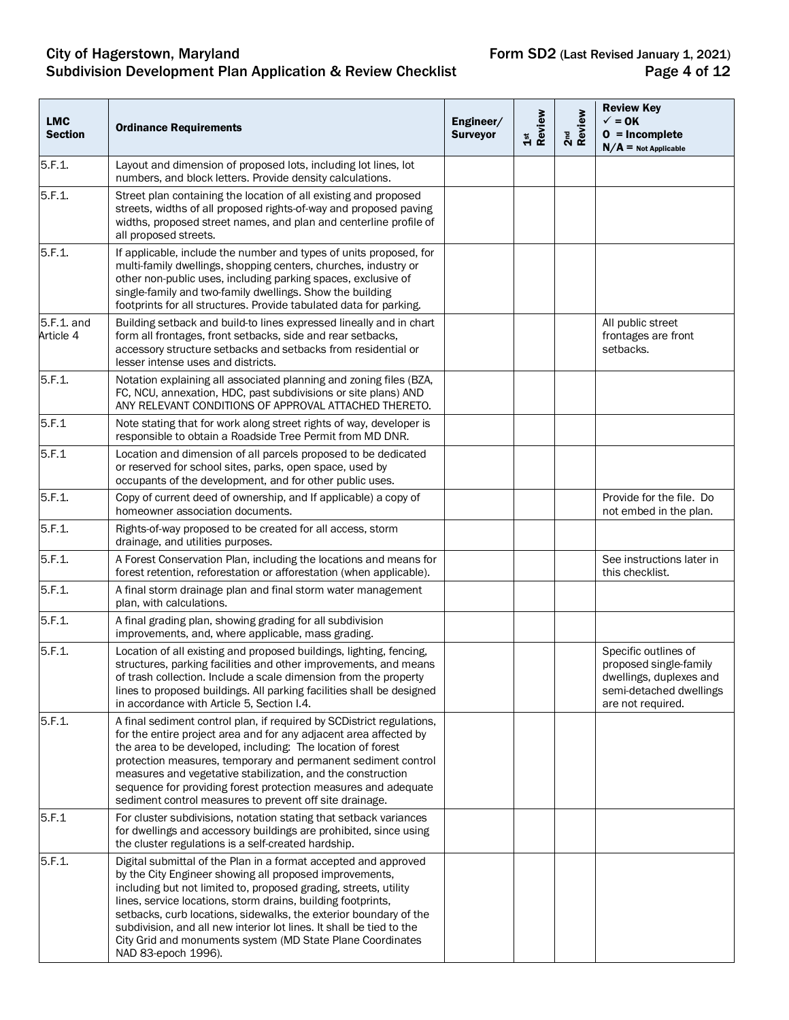## City of Hagerstown, Maryland **Form SD2** (Last Revised January 1, 2021) Subdivision Development Plan Application & Review Checklist **Page 4 of 12** Page 4 of 12

| <b>LMC</b><br><b>Section</b> | <b>Ordinance Requirements</b>                                                                                                                                                                                                                                                                                                                                                                                                                                                                    | Engineer/<br><b>Surveyor</b> | 1st<br>Review | 2 <sup>nd</sup><br>Review | <b>Review Key</b><br>$\checkmark$ = 0K<br>$0 = Incomplete$<br>$N/A$ = Not Applicable                                      |
|------------------------------|--------------------------------------------------------------------------------------------------------------------------------------------------------------------------------------------------------------------------------------------------------------------------------------------------------------------------------------------------------------------------------------------------------------------------------------------------------------------------------------------------|------------------------------|---------------|---------------------------|---------------------------------------------------------------------------------------------------------------------------|
| 5.F.1.                       | Layout and dimension of proposed lots, including lot lines, lot<br>numbers, and block letters. Provide density calculations.                                                                                                                                                                                                                                                                                                                                                                     |                              |               |                           |                                                                                                                           |
| 5.F.1.                       | Street plan containing the location of all existing and proposed<br>streets, widths of all proposed rights-of-way and proposed paving<br>widths, proposed street names, and plan and centerline profile of<br>all proposed streets.                                                                                                                                                                                                                                                              |                              |               |                           |                                                                                                                           |
| 5.F.1.                       | If applicable, include the number and types of units proposed, for<br>multi-family dwellings, shopping centers, churches, industry or<br>other non-public uses, including parking spaces, exclusive of<br>single-family and two-family dwellings. Show the building<br>footprints for all structures. Provide tabulated data for parking.                                                                                                                                                        |                              |               |                           |                                                                                                                           |
| 5.F.1. and<br>Article 4      | Building setback and build-to lines expressed lineally and in chart<br>form all frontages, front setbacks, side and rear setbacks,<br>accessory structure setbacks and setbacks from residential or<br>lesser intense uses and districts.                                                                                                                                                                                                                                                        |                              |               |                           | All public street<br>frontages are front<br>setbacks.                                                                     |
| 5.F.1.                       | Notation explaining all associated planning and zoning files (BZA,<br>FC, NCU, annexation, HDC, past subdivisions or site plans) AND<br>ANY RELEVANT CONDITIONS OF APPROVAL ATTACHED THERETO.                                                                                                                                                                                                                                                                                                    |                              |               |                           |                                                                                                                           |
| 5.F.1                        | Note stating that for work along street rights of way, developer is<br>responsible to obtain a Roadside Tree Permit from MD DNR.                                                                                                                                                                                                                                                                                                                                                                 |                              |               |                           |                                                                                                                           |
| 5.F.1                        | Location and dimension of all parcels proposed to be dedicated<br>or reserved for school sites, parks, open space, used by<br>occupants of the development, and for other public uses.                                                                                                                                                                                                                                                                                                           |                              |               |                           |                                                                                                                           |
| 5.F.1.                       | Copy of current deed of ownership, and If applicable) a copy of<br>homeowner association documents.                                                                                                                                                                                                                                                                                                                                                                                              |                              |               |                           | Provide for the file. Do<br>not embed in the plan.                                                                        |
| 5.F.1.                       | Rights-of-way proposed to be created for all access, storm<br>drainage, and utilities purposes.                                                                                                                                                                                                                                                                                                                                                                                                  |                              |               |                           |                                                                                                                           |
| 5.F.1.                       | A Forest Conservation Plan, including the locations and means for<br>forest retention, reforestation or afforestation (when applicable).                                                                                                                                                                                                                                                                                                                                                         |                              |               |                           | See instructions later in<br>this checklist.                                                                              |
| 5.F.1.                       | A final storm drainage plan and final storm water management<br>plan, with calculations.                                                                                                                                                                                                                                                                                                                                                                                                         |                              |               |                           |                                                                                                                           |
| 5.F.1.                       | A final grading plan, showing grading for all subdivision<br>improvements, and, where applicable, mass grading.                                                                                                                                                                                                                                                                                                                                                                                  |                              |               |                           |                                                                                                                           |
| 5.F.1.                       | Location of all existing and proposed buildings, lighting, fencing,<br>structures, parking facilities and other improvements, and means<br>of trash collection. Include a scale dimension from the property<br>lines to proposed buildings. All parking facilities shall be designed<br>in accordance with Article 5, Section I.4.                                                                                                                                                               |                              |               |                           | Specific outlines of<br>proposed single-family<br>dwellings, duplexes and<br>semi-detached dwellings<br>are not required. |
| 5.F.1.                       | A final sediment control plan, if required by SCDistrict regulations,<br>for the entire project area and for any adjacent area affected by<br>the area to be developed, including: The location of forest<br>protection measures, temporary and permanent sediment control<br>measures and vegetative stabilization, and the construction<br>sequence for providing forest protection measures and adequate<br>sediment control measures to prevent off site drainage.                           |                              |               |                           |                                                                                                                           |
| 5.F.1                        | For cluster subdivisions, notation stating that setback variances<br>for dwellings and accessory buildings are prohibited, since using<br>the cluster regulations is a self-created hardship.                                                                                                                                                                                                                                                                                                    |                              |               |                           |                                                                                                                           |
| 5.F.1.                       | Digital submittal of the Plan in a format accepted and approved<br>by the City Engineer showing all proposed improvements,<br>including but not limited to, proposed grading, streets, utility<br>lines, service locations, storm drains, building footprints,<br>setbacks, curb locations, sidewalks, the exterior boundary of the<br>subdivision, and all new interior lot lines. It shall be tied to the<br>City Grid and monuments system (MD State Plane Coordinates<br>NAD 83-epoch 1996). |                              |               |                           |                                                                                                                           |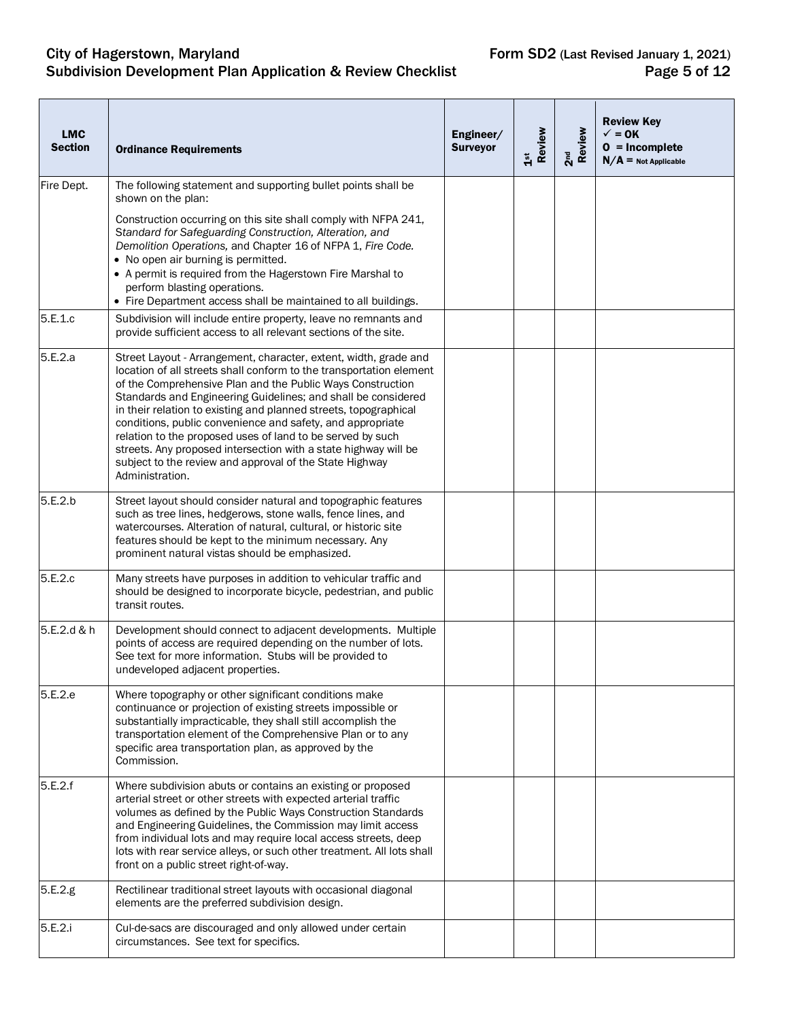## City of Hagerstown, Maryland **Form SD2** (Last Revised January 1, 2021) Subdivision Development Plan Application & Review Checklist **Page 5 of 12** Page 5 of 12

| <b>LMC</b><br><b>Section</b> | <b>Ordinance Requirements</b>                                                                                                                                                                                                                                                                                                                                                                                                                                                                                                                                                                                           | Engineer/<br><b>Surveyor</b> | 1st<br>Review | 2 <sup>nd</sup><br>Review | <b>Review Key</b><br>$\checkmark$ = 0K<br>$0 = Incomplete$<br>$N/A$ = Not Applicable |
|------------------------------|-------------------------------------------------------------------------------------------------------------------------------------------------------------------------------------------------------------------------------------------------------------------------------------------------------------------------------------------------------------------------------------------------------------------------------------------------------------------------------------------------------------------------------------------------------------------------------------------------------------------------|------------------------------|---------------|---------------------------|--------------------------------------------------------------------------------------|
| Fire Dept.                   | The following statement and supporting bullet points shall be<br>shown on the plan:                                                                                                                                                                                                                                                                                                                                                                                                                                                                                                                                     |                              |               |                           |                                                                                      |
|                              | Construction occurring on this site shall comply with NFPA 241,<br>Standard for Safeguarding Construction, Alteration, and<br>Demolition Operations, and Chapter 16 of NFPA 1, Fire Code.<br>• No open air burning is permitted.<br>• A permit is required from the Hagerstown Fire Marshal to<br>perform blasting operations.<br>• Fire Department access shall be maintained to all buildings.                                                                                                                                                                                                                        |                              |               |                           |                                                                                      |
| 5.E.1.c                      | Subdivision will include entire property, leave no remnants and<br>provide sufficient access to all relevant sections of the site.                                                                                                                                                                                                                                                                                                                                                                                                                                                                                      |                              |               |                           |                                                                                      |
| 5.E.2.a                      | Street Layout - Arrangement, character, extent, width, grade and<br>location of all streets shall conform to the transportation element<br>of the Comprehensive Plan and the Public Ways Construction<br>Standards and Engineering Guidelines; and shall be considered<br>in their relation to existing and planned streets, topographical<br>conditions, public convenience and safety, and appropriate<br>relation to the proposed uses of land to be served by such<br>streets. Any proposed intersection with a state highway will be<br>subject to the review and approval of the State Highway<br>Administration. |                              |               |                           |                                                                                      |
| 5.E.2.b                      | Street layout should consider natural and topographic features<br>such as tree lines, hedgerows, stone walls, fence lines, and<br>watercourses. Alteration of natural, cultural, or historic site<br>features should be kept to the minimum necessary. Any<br>prominent natural vistas should be emphasized.                                                                                                                                                                                                                                                                                                            |                              |               |                           |                                                                                      |
| 5.E.2.c                      | Many streets have purposes in addition to vehicular traffic and<br>should be designed to incorporate bicycle, pedestrian, and public<br>transit routes.                                                                                                                                                                                                                                                                                                                                                                                                                                                                 |                              |               |                           |                                                                                      |
| 5.E.2.d & h                  | Development should connect to adjacent developments. Multiple<br>points of access are required depending on the number of lots.<br>See text for more information. Stubs will be provided to<br>undeveloped adjacent properties.                                                                                                                                                                                                                                                                                                                                                                                         |                              |               |                           |                                                                                      |
| 5.E.2.e                      | Where topography or other significant conditions make<br>continuance or projection of existing streets impossible or<br>substantially impracticable, they shall still accomplish the<br>transportation element of the Comprehensive Plan or to any<br>specific area transportation plan, as approved by the<br>Commission.                                                                                                                                                                                                                                                                                              |                              |               |                           |                                                                                      |
| 5.E.2.f                      | Where subdivision abuts or contains an existing or proposed<br>arterial street or other streets with expected arterial traffic<br>volumes as defined by the Public Ways Construction Standards<br>and Engineering Guidelines, the Commission may limit access<br>from individual lots and may require local access streets, deep<br>lots with rear service alleys, or such other treatment. All lots shall<br>front on a public street right-of-way.                                                                                                                                                                    |                              |               |                           |                                                                                      |
| 5.E.2.g                      | Rectilinear traditional street layouts with occasional diagonal<br>elements are the preferred subdivision design.                                                                                                                                                                                                                                                                                                                                                                                                                                                                                                       |                              |               |                           |                                                                                      |
| 5.E.2.i                      | Cul-de-sacs are discouraged and only allowed under certain<br>circumstances. See text for specifics.                                                                                                                                                                                                                                                                                                                                                                                                                                                                                                                    |                              |               |                           |                                                                                      |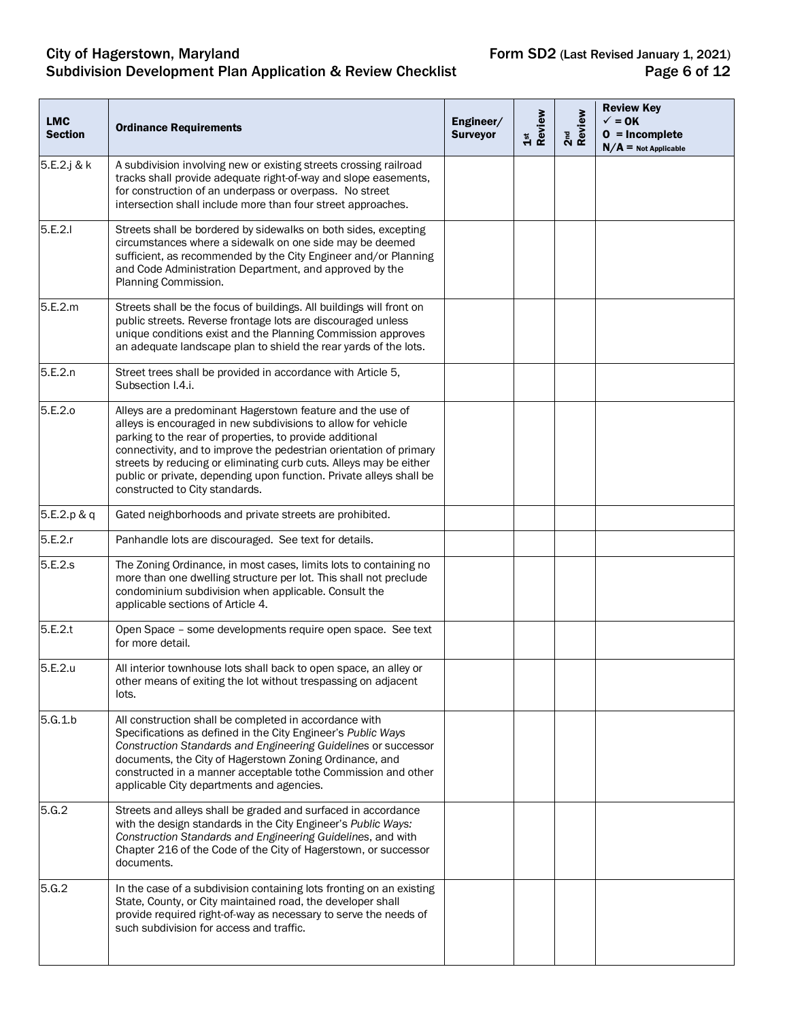#### City of Hagerstown, Maryland **Form SD2** (Last Revised January 1, 2021) Subdivision Development Plan Application & Review Checklist **Page 6 of 12** Page 6 of 12

| <b>LMC</b><br><b>Section</b> | <b>Ordinance Requirements</b>                                                                                                                                                                                                                                                                                                                                                                                                                | Engineer/<br><b>Surveyor</b> | 1st<br>Review | 2 <sup>nd</sup><br>Review | <b>Review Key</b><br>$\checkmark$ = 0K<br>$0 = Incomplete$<br>$N/A$ = Not Applicable |
|------------------------------|----------------------------------------------------------------------------------------------------------------------------------------------------------------------------------------------------------------------------------------------------------------------------------------------------------------------------------------------------------------------------------------------------------------------------------------------|------------------------------|---------------|---------------------------|--------------------------------------------------------------------------------------|
| 5.E.2.j & k                  | A subdivision involving new or existing streets crossing railroad<br>tracks shall provide adequate right-of-way and slope easements,<br>for construction of an underpass or overpass. No street<br>intersection shall include more than four street approaches.                                                                                                                                                                              |                              |               |                           |                                                                                      |
| 5.E.2.1                      | Streets shall be bordered by sidewalks on both sides, excepting<br>circumstances where a sidewalk on one side may be deemed<br>sufficient, as recommended by the City Engineer and/or Planning<br>and Code Administration Department, and approved by the<br>Planning Commission.                                                                                                                                                            |                              |               |                           |                                                                                      |
| 5.E.2.m                      | Streets shall be the focus of buildings. All buildings will front on<br>public streets. Reverse frontage lots are discouraged unless<br>unique conditions exist and the Planning Commission approves<br>an adequate landscape plan to shield the rear yards of the lots.                                                                                                                                                                     |                              |               |                           |                                                                                      |
| 5.E.2.n                      | Street trees shall be provided in accordance with Article 5,<br>Subsection I.4.i.                                                                                                                                                                                                                                                                                                                                                            |                              |               |                           |                                                                                      |
| 5.E.2.o                      | Alleys are a predominant Hagerstown feature and the use of<br>alleys is encouraged in new subdivisions to allow for vehicle<br>parking to the rear of properties, to provide additional<br>connectivity, and to improve the pedestrian orientation of primary<br>streets by reducing or eliminating curb cuts. Alleys may be either<br>public or private, depending upon function. Private alleys shall be<br>constructed to City standards. |                              |               |                           |                                                                                      |
| 5.E.2.p & q                  | Gated neighborhoods and private streets are prohibited.                                                                                                                                                                                                                                                                                                                                                                                      |                              |               |                           |                                                                                      |
| 5.E.2.r                      | Panhandle lots are discouraged. See text for details.                                                                                                                                                                                                                                                                                                                                                                                        |                              |               |                           |                                                                                      |
| 5.E.2.s                      | The Zoning Ordinance, in most cases, limits lots to containing no<br>more than one dwelling structure per lot. This shall not preclude<br>condominium subdivision when applicable. Consult the<br>applicable sections of Article 4.                                                                                                                                                                                                          |                              |               |                           |                                                                                      |
| 5.E.2.t                      | Open Space - some developments require open space. See text<br>for more detail.                                                                                                                                                                                                                                                                                                                                                              |                              |               |                           |                                                                                      |
| 5.E.2.u                      | All interior townhouse lots shall back to open space, an alley or<br>other means of exiting the lot without trespassing on adjacent<br>lots.                                                                                                                                                                                                                                                                                                 |                              |               |                           |                                                                                      |
| 5.G.1.b                      | All construction shall be completed in accordance with<br>Specifications as defined in the City Engineer's Public Ways<br>Construction Standards and Engineering Guidelines or successor<br>documents, the City of Hagerstown Zoning Ordinance, and<br>constructed in a manner acceptable tothe Commission and other<br>applicable City departments and agencies.                                                                            |                              |               |                           |                                                                                      |
| 5.G.2                        | Streets and alleys shall be graded and surfaced in accordance<br>with the design standards in the City Engineer's Public Ways:<br>Construction Standards and Engineering Guidelines, and with<br>Chapter 216 of the Code of the City of Hagerstown, or successor<br>documents.                                                                                                                                                               |                              |               |                           |                                                                                      |
| 5.G.2                        | In the case of a subdivision containing lots fronting on an existing<br>State, County, or City maintained road, the developer shall<br>provide required right-of-way as necessary to serve the needs of<br>such subdivision for access and traffic.                                                                                                                                                                                          |                              |               |                           |                                                                                      |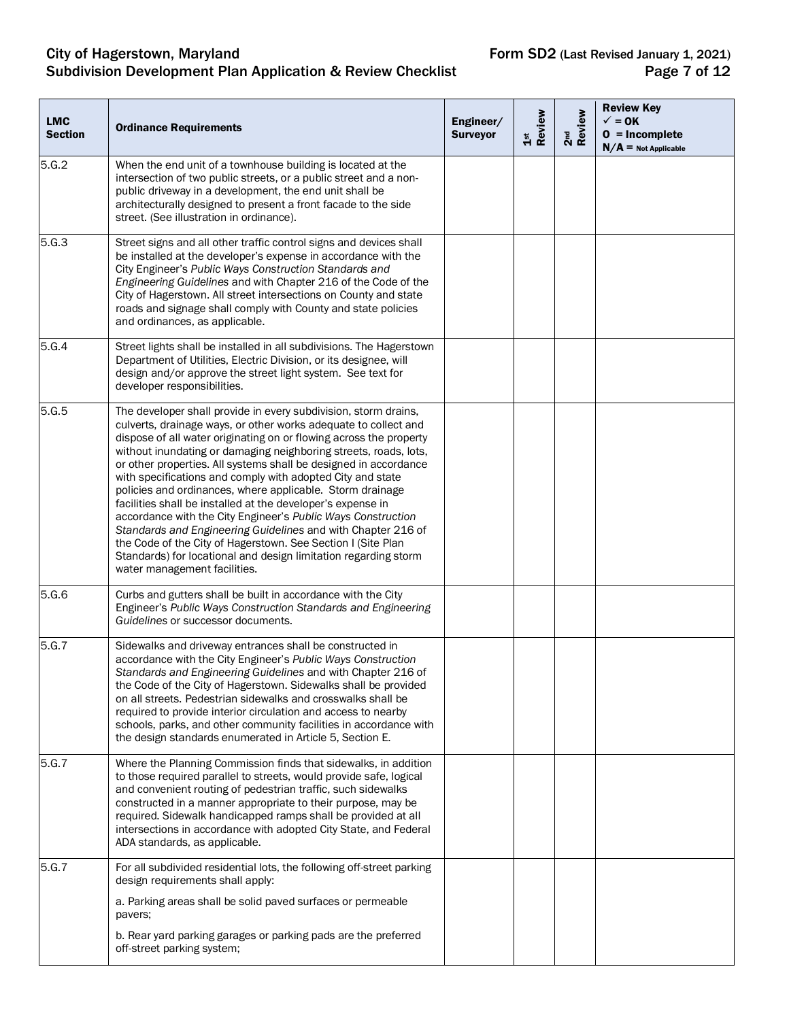## City of Hagerstown, Maryland **Form SD2** (Last Revised January 1, 2021) Subdivision Development Plan Application & Review Checklist **Page 7** of 12

| <b>LMC</b><br><b>Section</b> | <b>Ordinance Requirements</b>                                                                                                                                                                                                                                                                                                                                                                                                                                                                                                                                                                                                                                                                                                                                                                                                                 | Engineer/<br><b>Surveyor</b> | 1st<br>Review | 2 <sup>nd</sup><br>Review | <b>Review Key</b><br>$\sqrt{}=$ OK<br>$0 = Incomplete$<br>$N/A$ = Not Applicable |
|------------------------------|-----------------------------------------------------------------------------------------------------------------------------------------------------------------------------------------------------------------------------------------------------------------------------------------------------------------------------------------------------------------------------------------------------------------------------------------------------------------------------------------------------------------------------------------------------------------------------------------------------------------------------------------------------------------------------------------------------------------------------------------------------------------------------------------------------------------------------------------------|------------------------------|---------------|---------------------------|----------------------------------------------------------------------------------|
| 5.G.2                        | When the end unit of a townhouse building is located at the<br>intersection of two public streets, or a public street and a non-<br>public driveway in a development, the end unit shall be<br>architecturally designed to present a front facade to the side<br>street. (See illustration in ordinance).                                                                                                                                                                                                                                                                                                                                                                                                                                                                                                                                     |                              |               |                           |                                                                                  |
| 5.G.3                        | Street signs and all other traffic control signs and devices shall<br>be installed at the developer's expense in accordance with the<br>City Engineer's Public Ways Construction Standards and<br>Engineering Guidelines and with Chapter 216 of the Code of the<br>City of Hagerstown. All street intersections on County and state<br>roads and signage shall comply with County and state policies<br>and ordinances, as applicable.                                                                                                                                                                                                                                                                                                                                                                                                       |                              |               |                           |                                                                                  |
| 5.G.4                        | Street lights shall be installed in all subdivisions. The Hagerstown<br>Department of Utilities, Electric Division, or its designee, will<br>design and/or approve the street light system. See text for<br>developer responsibilities.                                                                                                                                                                                                                                                                                                                                                                                                                                                                                                                                                                                                       |                              |               |                           |                                                                                  |
| 5.G.5                        | The developer shall provide in every subdivision, storm drains,<br>culverts, drainage ways, or other works adequate to collect and<br>dispose of all water originating on or flowing across the property<br>without inundating or damaging neighboring streets, roads, lots,<br>or other properties. All systems shall be designed in accordance<br>with specifications and comply with adopted City and state<br>policies and ordinances, where applicable. Storm drainage<br>facilities shall be installed at the developer's expense in<br>accordance with the City Engineer's Public Ways Construction<br>Standards and Engineering Guidelines and with Chapter 216 of<br>the Code of the City of Hagerstown. See Section I (Site Plan<br>Standards) for locational and design limitation regarding storm<br>water management facilities. |                              |               |                           |                                                                                  |
| 5.G.6                        | Curbs and gutters shall be built in accordance with the City<br>Engineer's Public Ways Construction Standards and Engineering<br>Guidelines or successor documents.                                                                                                                                                                                                                                                                                                                                                                                                                                                                                                                                                                                                                                                                           |                              |               |                           |                                                                                  |
| 5.G.7                        | Sidewalks and driveway entrances shall be constructed in<br>accordance with the City Engineer's Public Ways Construction<br>Standards and Engineering Guidelines and with Chapter 216 of<br>the Code of the City of Hagerstown. Sidewalks shall be provided<br>on all streets. Pedestrian sidewalks and crosswalks shall be<br>required to provide interior circulation and access to nearby<br>schools, parks, and other community facilities in accordance with<br>the design standards enumerated in Article 5, Section E.                                                                                                                                                                                                                                                                                                                 |                              |               |                           |                                                                                  |
| 5.G.7                        | Where the Planning Commission finds that sidewalks, in addition<br>to those required parallel to streets, would provide safe, logical<br>and convenient routing of pedestrian traffic, such sidewalks<br>constructed in a manner appropriate to their purpose, may be<br>required. Sidewalk handicapped ramps shall be provided at all<br>intersections in accordance with adopted City State, and Federal<br>ADA standards, as applicable.                                                                                                                                                                                                                                                                                                                                                                                                   |                              |               |                           |                                                                                  |
| 5.G.7                        | For all subdivided residential lots, the following off-street parking<br>design requirements shall apply:                                                                                                                                                                                                                                                                                                                                                                                                                                                                                                                                                                                                                                                                                                                                     |                              |               |                           |                                                                                  |
|                              | a. Parking areas shall be solid paved surfaces or permeable<br>pavers;                                                                                                                                                                                                                                                                                                                                                                                                                                                                                                                                                                                                                                                                                                                                                                        |                              |               |                           |                                                                                  |
|                              | b. Rear yard parking garages or parking pads are the preferred<br>off-street parking system;                                                                                                                                                                                                                                                                                                                                                                                                                                                                                                                                                                                                                                                                                                                                                  |                              |               |                           |                                                                                  |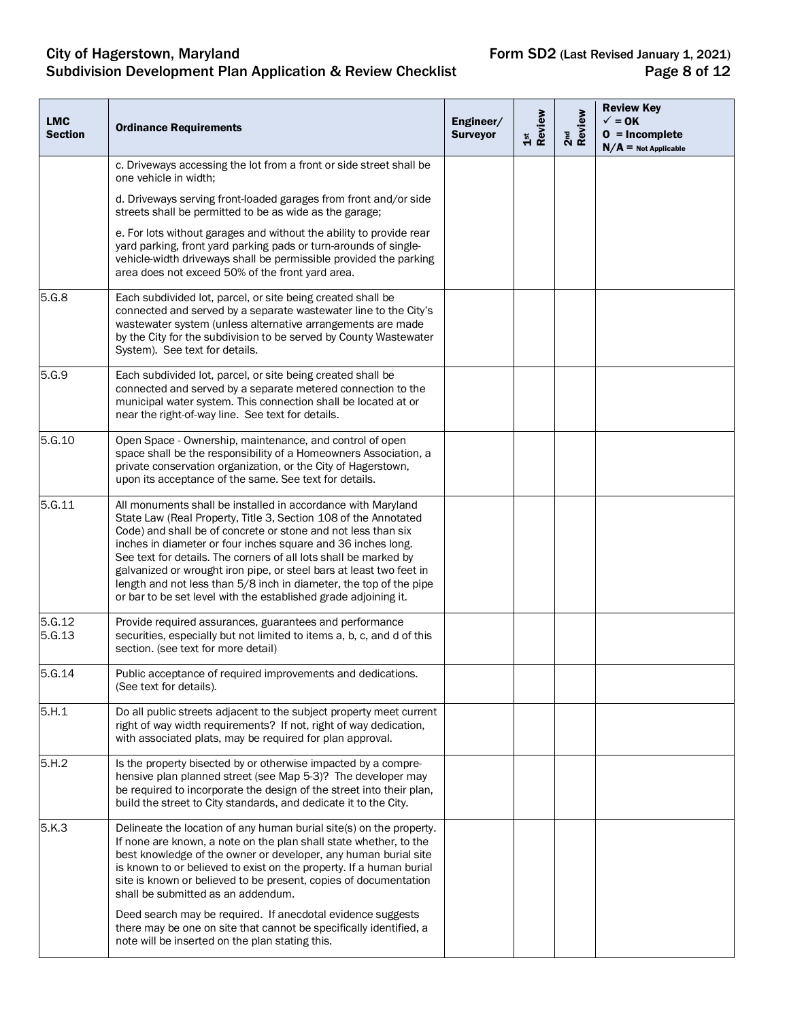## City of Hagerstown, Maryland **Form SD2** (Last Revised January 1, 2021) Subdivision Development Plan Application & Review Checklist **Page 8 of 12** Page 8 of 12

| <b>LMC</b><br><b>Section</b> | <b>Ordinance Requirements</b>                                                                                                                                                                                                                                                                                                                                                                                                                                                                                                                        | Engineer/<br><b>Surveyor</b> | 1st<br>Review | 2 <sup>nd</sup><br>Review | <b>Review Key</b><br>$\checkmark$ = 0K<br>$0 = Incomplete$<br>$N/A$ = Not Applicable |
|------------------------------|------------------------------------------------------------------------------------------------------------------------------------------------------------------------------------------------------------------------------------------------------------------------------------------------------------------------------------------------------------------------------------------------------------------------------------------------------------------------------------------------------------------------------------------------------|------------------------------|---------------|---------------------------|--------------------------------------------------------------------------------------|
|                              | c. Driveways accessing the lot from a front or side street shall be<br>one vehicle in width;                                                                                                                                                                                                                                                                                                                                                                                                                                                         |                              |               |                           |                                                                                      |
|                              | d. Driveways serving front-loaded garages from front and/or side<br>streets shall be permitted to be as wide as the garage;                                                                                                                                                                                                                                                                                                                                                                                                                          |                              |               |                           |                                                                                      |
|                              | e. For lots without garages and without the ability to provide rear<br>yard parking, front yard parking pads or turn-arounds of single-<br>vehicle-width driveways shall be permissible provided the parking<br>area does not exceed 50% of the front yard area.                                                                                                                                                                                                                                                                                     |                              |               |                           |                                                                                      |
| 5.G.8                        | Each subdivided lot, parcel, or site being created shall be<br>connected and served by a separate wastewater line to the City's<br>wastewater system (unless alternative arrangements are made<br>by the City for the subdivision to be served by County Wastewater<br>System). See text for details.                                                                                                                                                                                                                                                |                              |               |                           |                                                                                      |
| 5.G.9                        | Each subdivided lot, parcel, or site being created shall be<br>connected and served by a separate metered connection to the<br>municipal water system. This connection shall be located at or<br>near the right-of-way line. See text for details.                                                                                                                                                                                                                                                                                                   |                              |               |                           |                                                                                      |
| 5.G.10                       | Open Space - Ownership, maintenance, and control of open<br>space shall be the responsibility of a Homeowners Association, a<br>private conservation organization, or the City of Hagerstown,<br>upon its acceptance of the same. See text for details.                                                                                                                                                                                                                                                                                              |                              |               |                           |                                                                                      |
| 5.G.11                       | All monuments shall be installed in accordance with Maryland<br>State Law (Real Property, Title 3, Section 108 of the Annotated<br>Code) and shall be of concrete or stone and not less than six<br>inches in diameter or four inches square and 36 inches long.<br>See text for details. The corners of all lots shall be marked by<br>galvanized or wrought iron pipe, or steel bars at least two feet in<br>length and not less than 5/8 inch in diameter, the top of the pipe<br>or bar to be set level with the established grade adjoining it. |                              |               |                           |                                                                                      |
| 5.G.12<br>5.G.13             | Provide required assurances, guarantees and performance<br>securities, especially but not limited to items a, b, c, and d of this<br>section. (see text for more detail)                                                                                                                                                                                                                                                                                                                                                                             |                              |               |                           |                                                                                      |
| 5.G.14                       | Public acceptance of required improvements and dedications.<br>(See text for details).                                                                                                                                                                                                                                                                                                                                                                                                                                                               |                              |               |                           |                                                                                      |
| 5.H.1                        | Do all public streets adjacent to the subject property meet current<br>right of way width requirements? If not, right of way dedication,<br>with associated plats, may be required for plan approval.                                                                                                                                                                                                                                                                                                                                                |                              |               |                           |                                                                                      |
| 5.H.2                        | Is the property bisected by or otherwise impacted by a compre-<br>hensive plan planned street (see Map 5-3)? The developer may<br>be required to incorporate the design of the street into their plan,<br>build the street to City standards, and dedicate it to the City.                                                                                                                                                                                                                                                                           |                              |               |                           |                                                                                      |
| 5.K.3                        | Delineate the location of any human burial site(s) on the property.<br>If none are known, a note on the plan shall state whether, to the<br>best knowledge of the owner or developer, any human burial site<br>is known to or believed to exist on the property. If a human burial<br>site is known or believed to be present, copies of documentation<br>shall be submitted as an addendum.                                                                                                                                                         |                              |               |                           |                                                                                      |
|                              | Deed search may be required. If anecdotal evidence suggests<br>there may be one on site that cannot be specifically identified, a<br>note will be inserted on the plan stating this.                                                                                                                                                                                                                                                                                                                                                                 |                              |               |                           |                                                                                      |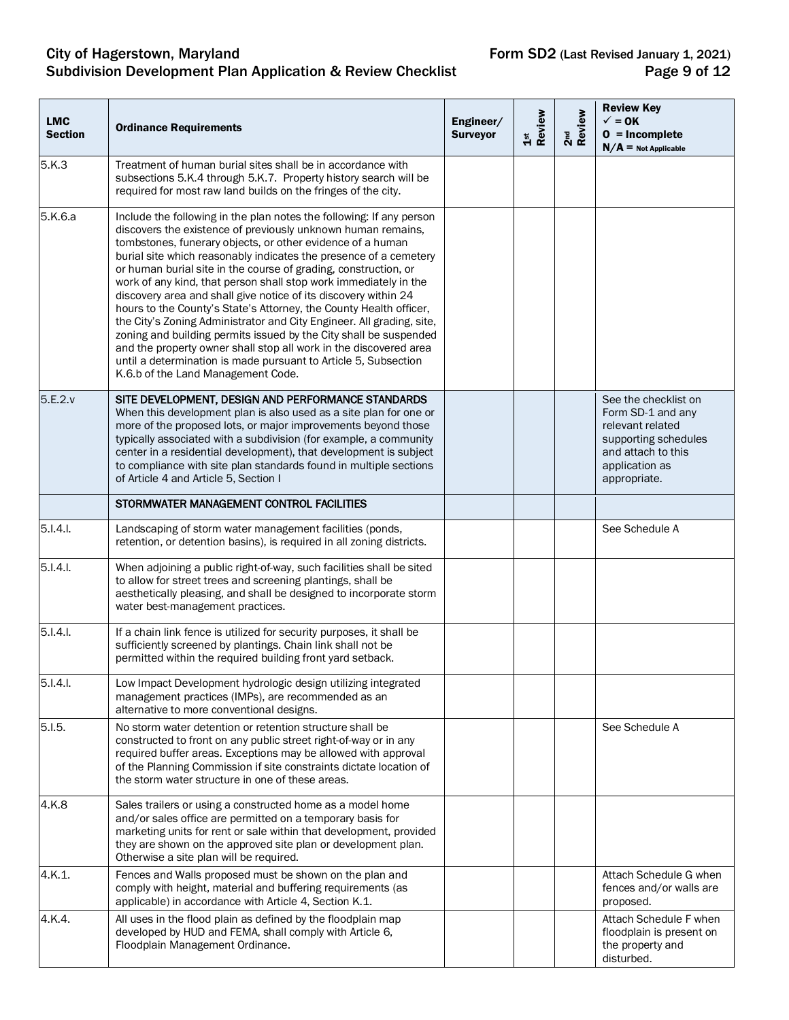## City of Hagerstown, Maryland **Form SD2** (Last Revised January 1, 2021) Subdivision Development Plan Application & Review Checklist **Page 9 of 12** Page 9 of 12

| <b>LMC</b><br><b>Section</b> | <b>Ordinance Requirements</b>                                                                                                                                                                                                                                                                                                                                                                                                                                                                                                                                                                                                                                                                                                                                                                                                                                                       | Engineer/<br><b>Surveyor</b> | 1st<br>Review | 2 <sup>nd</sup><br>Review | <b>Review Key</b><br>$\checkmark$ = 0K<br>$0 = Incomplete$<br>$N/A$ = Not Applicable                                                          |
|------------------------------|-------------------------------------------------------------------------------------------------------------------------------------------------------------------------------------------------------------------------------------------------------------------------------------------------------------------------------------------------------------------------------------------------------------------------------------------------------------------------------------------------------------------------------------------------------------------------------------------------------------------------------------------------------------------------------------------------------------------------------------------------------------------------------------------------------------------------------------------------------------------------------------|------------------------------|---------------|---------------------------|-----------------------------------------------------------------------------------------------------------------------------------------------|
| 5.K.3                        | Treatment of human burial sites shall be in accordance with<br>subsections 5.K.4 through 5.K.7. Property history search will be<br>required for most raw land builds on the fringes of the city.                                                                                                                                                                                                                                                                                                                                                                                                                                                                                                                                                                                                                                                                                    |                              |               |                           |                                                                                                                                               |
| 5.K.6.a                      | Include the following in the plan notes the following: If any person<br>discovers the existence of previously unknown human remains,<br>tombstones, funerary objects, or other evidence of a human<br>burial site which reasonably indicates the presence of a cemetery<br>or human burial site in the course of grading, construction, or<br>work of any kind, that person shall stop work immediately in the<br>discovery area and shall give notice of its discovery within 24<br>hours to the County's State's Attorney, the County Health officer,<br>the City's Zoning Administrator and City Engineer. All grading, site,<br>zoning and building permits issued by the City shall be suspended<br>and the property owner shall stop all work in the discovered area<br>until a determination is made pursuant to Article 5, Subsection<br>K.6.b of the Land Management Code. |                              |               |                           |                                                                                                                                               |
| 5.E.2.v                      | SITE DEVELOPMENT, DESIGN AND PERFORMANCE STANDARDS<br>When this development plan is also used as a site plan for one or<br>more of the proposed lots, or major improvements beyond those<br>typically associated with a subdivision (for example, a community<br>center in a residential development), that development is subject<br>to compliance with site plan standards found in multiple sections<br>of Article 4 and Article 5, Section I                                                                                                                                                                                                                                                                                                                                                                                                                                    |                              |               |                           | See the checklist on<br>Form SD-1 and any<br>relevant related<br>supporting schedules<br>and attach to this<br>application as<br>appropriate. |
|                              | STORMWATER MANAGEMENT CONTROL FACILITIES                                                                                                                                                                                                                                                                                                                                                                                                                                                                                                                                                                                                                                                                                                                                                                                                                                            |                              |               |                           |                                                                                                                                               |
| 5.1.4.1                      | Landscaping of storm water management facilities (ponds,<br>retention, or detention basins), is required in all zoning districts.                                                                                                                                                                                                                                                                                                                                                                                                                                                                                                                                                                                                                                                                                                                                                   |                              |               |                           | See Schedule A                                                                                                                                |
| 5.1.4.1                      | When adjoining a public right-of-way, such facilities shall be sited<br>to allow for street trees and screening plantings, shall be<br>aesthetically pleasing, and shall be designed to incorporate storm<br>water best-management practices.                                                                                                                                                                                                                                                                                                                                                                                                                                                                                                                                                                                                                                       |                              |               |                           |                                                                                                                                               |
| $5.1.4.1$ .                  | If a chain link fence is utilized for security purposes, it shall be<br>sufficiently screened by plantings. Chain link shall not be<br>permitted within the required building front yard setback.                                                                                                                                                                                                                                                                                                                                                                                                                                                                                                                                                                                                                                                                                   |                              |               |                           |                                                                                                                                               |
| 5.1.4.1.                     | Low Impact Development hydrologic design utilizing integrated<br>management practices (IMPs), are recommended as an<br>alternative to more conventional designs.                                                                                                                                                                                                                                                                                                                                                                                                                                                                                                                                                                                                                                                                                                                    |                              |               |                           |                                                                                                                                               |
| 5.1.5.                       | No storm water detention or retention structure shall be<br>constructed to front on any public street right-of-way or in any<br>required buffer areas. Exceptions may be allowed with approval<br>of the Planning Commission if site constraints dictate location of<br>the storm water structure in one of these areas.                                                                                                                                                                                                                                                                                                                                                                                                                                                                                                                                                            |                              |               |                           | See Schedule A                                                                                                                                |
| 4.K.8                        | Sales trailers or using a constructed home as a model home<br>and/or sales office are permitted on a temporary basis for<br>marketing units for rent or sale within that development, provided<br>they are shown on the approved site plan or development plan.<br>Otherwise a site plan will be required.                                                                                                                                                                                                                                                                                                                                                                                                                                                                                                                                                                          |                              |               |                           |                                                                                                                                               |
| 4.K.1.                       | Fences and Walls proposed must be shown on the plan and<br>comply with height, material and buffering requirements (as<br>applicable) in accordance with Article 4, Section K.1.                                                                                                                                                                                                                                                                                                                                                                                                                                                                                                                                                                                                                                                                                                    |                              |               |                           | Attach Schedule G when<br>fences and/or walls are<br>proposed.                                                                                |
| 4.K.4.                       | All uses in the flood plain as defined by the floodplain map<br>developed by HUD and FEMA, shall comply with Article 6,<br>Floodplain Management Ordinance.                                                                                                                                                                                                                                                                                                                                                                                                                                                                                                                                                                                                                                                                                                                         |                              |               |                           | Attach Schedule F when<br>floodplain is present on<br>the property and<br>disturbed.                                                          |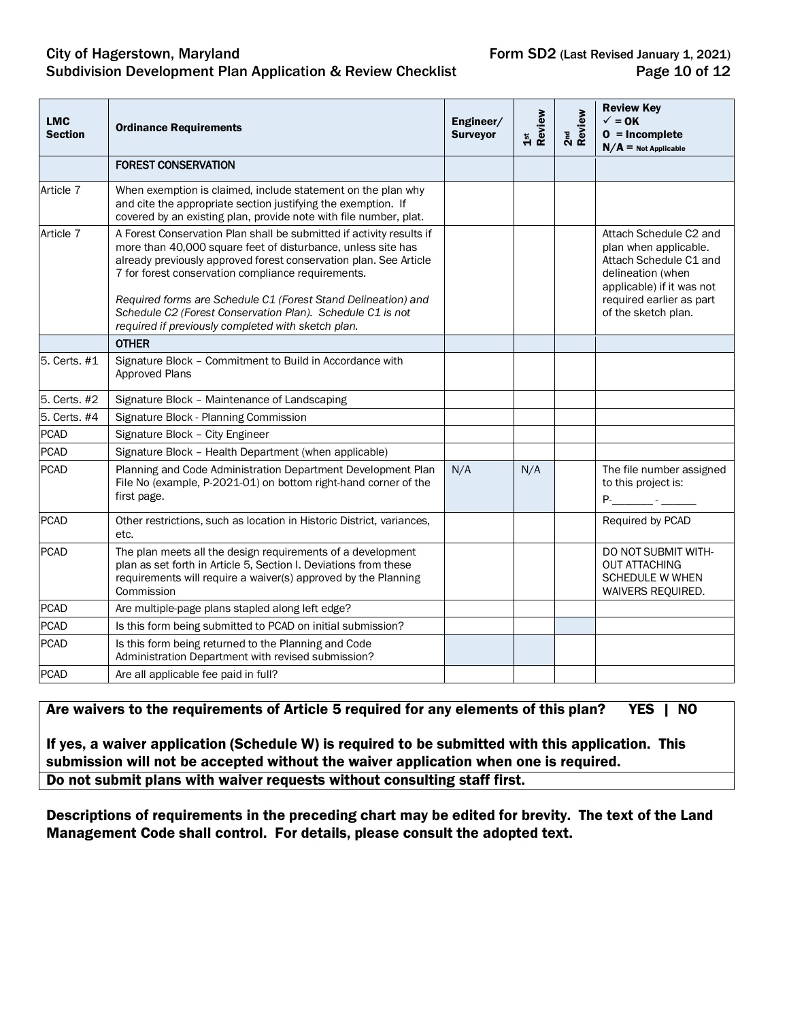#### City of Hagerstown, Maryland **Form SD2** (Last Revised January 1, 2021)<br>Subdivision Development Plan Application & Review Checklist **Form SD2** (Last Revised January 1, 2021) Subdivision Development Plan Application & Review Checklist

| <b>LMC</b><br><b>Section</b> | <b>Ordinance Requirements</b>                                                                                                                                                                                                                                                                                                                                                                                                                        | Engineer/<br><b>Surveyor</b> | Review<br>$\frac{5}{15}$ | 2 <sup>nd</sup><br>Review | <b>Review Key</b><br>$\checkmark$ = 0K<br>$0 = Incomplete$<br>$N/A =$ Not Applicable                                                                                           |
|------------------------------|------------------------------------------------------------------------------------------------------------------------------------------------------------------------------------------------------------------------------------------------------------------------------------------------------------------------------------------------------------------------------------------------------------------------------------------------------|------------------------------|--------------------------|---------------------------|--------------------------------------------------------------------------------------------------------------------------------------------------------------------------------|
|                              | <b>FOREST CONSERVATION</b>                                                                                                                                                                                                                                                                                                                                                                                                                           |                              |                          |                           |                                                                                                                                                                                |
| Article 7                    | When exemption is claimed, include statement on the plan why<br>and cite the appropriate section justifying the exemption. If<br>covered by an existing plan, provide note with file number, plat.                                                                                                                                                                                                                                                   |                              |                          |                           |                                                                                                                                                                                |
| Article 7                    | A Forest Conservation Plan shall be submitted if activity results if<br>more than 40,000 square feet of disturbance, unless site has<br>already previously approved forest conservation plan. See Article<br>7 for forest conservation compliance requirements.<br>Required forms are Schedule C1 (Forest Stand Delineation) and<br>Schedule C2 (Forest Conservation Plan). Schedule C1 is not<br>required if previously completed with sketch plan. |                              |                          |                           | Attach Schedule C2 and<br>plan when applicable.<br>Attach Schedule C1 and<br>delineation (when<br>applicable) if it was not<br>required earlier as part<br>of the sketch plan. |
|                              | <b>OTHER</b>                                                                                                                                                                                                                                                                                                                                                                                                                                         |                              |                          |                           |                                                                                                                                                                                |
| 5. Certs. #1                 | Signature Block - Commitment to Build in Accordance with<br>Approved Plans                                                                                                                                                                                                                                                                                                                                                                           |                              |                          |                           |                                                                                                                                                                                |
| 5. Certs. #2                 | Signature Block - Maintenance of Landscaping                                                                                                                                                                                                                                                                                                                                                                                                         |                              |                          |                           |                                                                                                                                                                                |
| 5. Certs. #4                 | Signature Block - Planning Commission                                                                                                                                                                                                                                                                                                                                                                                                                |                              |                          |                           |                                                                                                                                                                                |
| <b>PCAD</b>                  | Signature Block - City Engineer                                                                                                                                                                                                                                                                                                                                                                                                                      |                              |                          |                           |                                                                                                                                                                                |
| <b>PCAD</b>                  | Signature Block - Health Department (when applicable)                                                                                                                                                                                                                                                                                                                                                                                                |                              |                          |                           |                                                                                                                                                                                |
| <b>PCAD</b>                  | Planning and Code Administration Department Development Plan<br>File No (example, P-2021-01) on bottom right-hand corner of the<br>first page.                                                                                                                                                                                                                                                                                                       | N/A                          | N/A                      |                           | The file number assigned<br>to this project is:<br><b>P</b> - <b>1</b>                                                                                                         |
| <b>PCAD</b>                  | Other restrictions, such as location in Historic District, variances,<br>etc.                                                                                                                                                                                                                                                                                                                                                                        |                              |                          |                           | Required by PCAD                                                                                                                                                               |
| <b>PCAD</b>                  | The plan meets all the design requirements of a development<br>plan as set forth in Article 5, Section I. Deviations from these<br>requirements will require a waiver(s) approved by the Planning<br>Commission                                                                                                                                                                                                                                      |                              |                          |                           | DO NOT SUBMIT WITH-<br><b>OUT ATTACHING</b><br><b>SCHEDULE W WHEN</b><br>WAIVERS REQUIRED.                                                                                     |
| <b>PCAD</b>                  | Are multiple-page plans stapled along left edge?                                                                                                                                                                                                                                                                                                                                                                                                     |                              |                          |                           |                                                                                                                                                                                |
| <b>PCAD</b>                  | Is this form being submitted to PCAD on initial submission?                                                                                                                                                                                                                                                                                                                                                                                          |                              |                          |                           |                                                                                                                                                                                |
| <b>PCAD</b>                  | Is this form being returned to the Planning and Code<br>Administration Department with revised submission?                                                                                                                                                                                                                                                                                                                                           |                              |                          |                           |                                                                                                                                                                                |
| <b>PCAD</b>                  | Are all applicable fee paid in full?                                                                                                                                                                                                                                                                                                                                                                                                                 |                              |                          |                           |                                                                                                                                                                                |

Are waivers to the requirements of Article 5 required for any elements of this plan? YES | NO

If yes, a waiver application (Schedule W) is required to be submitted with this application. This submission will not be accepted without the waiver application when one is required. Do not submit plans with waiver requests without consulting staff first.

Descriptions of requirements in the preceding chart may be edited for brevity. The text of the Land Management Code shall control. For details, please consult the adopted text.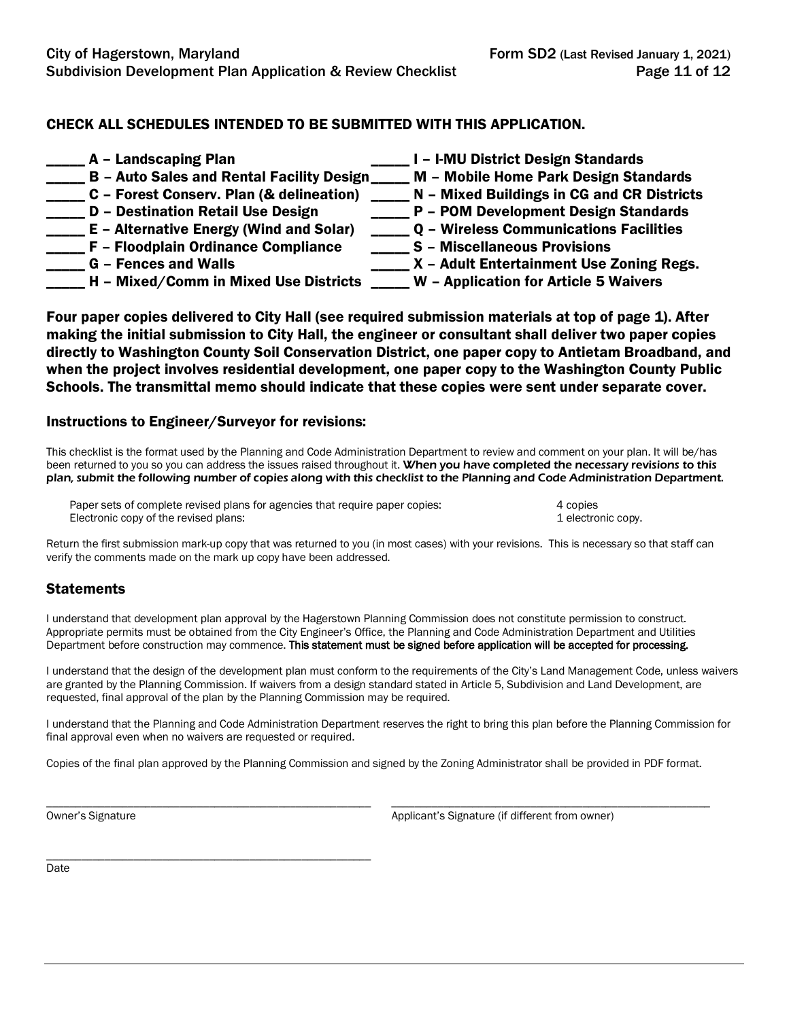## CHECK ALL SCHEDULES INTENDED TO BE SUBMITTED WITH THIS APPLICATION.

| A - Landscaping Plan                             | I - I-MU District Design Standards            |
|--------------------------------------------------|-----------------------------------------------|
| <b>B - Auto Sales and Rental Facility Design</b> | M - Mobile Home Park Design Standards         |
| C - Forest Conserv. Plan (& delineation)         | N - Mixed Buildings in CG and CR Districts    |
| <b>D - Destination Retail Use Design</b>         | P - POM Development Design Standards          |
| E - Alternative Energy (Wind and Solar)          | <b>Q - Wireless Communications Facilities</b> |
| F - Floodplain Ordinance Compliance              | <b>S</b> - Miscellaneous Provisions           |
| <b>G</b> – Fences and Walls                      | X - Adult Entertainment Use Zoning Regs.      |
| H - Mixed/Comm in Mixed Use Districts            | W - Application for Article 5 Waivers         |

Four paper copies delivered to City Hall (see required submission materials at top of page 1). After making the initial submission to City Hall, the engineer or consultant shall deliver two paper copies directly to Washington County Soil Conservation District, one paper copy to Antietam Broadband, and when the project involves residential development, one paper copy to the Washington County Public Schools. The transmittal memo should indicate that these copies were sent under separate cover.

#### Instructions to Engineer/Surveyor for revisions:

\_\_\_\_\_\_\_\_\_\_\_\_\_\_\_\_\_\_\_\_\_\_\_\_\_\_\_\_\_\_\_\_\_\_\_\_\_\_\_\_\_\_\_\_\_\_\_\_\_\_\_\_\_\_\_\_

This checklist is the format used by the Planning and Code Administration Department to review and comment on your plan. It will be/has been returned to you so you can address the issues raised throughout it. When you have completed the necessary revisions to this plan, submit the following number of copies along with this checklist to the Planning and Code Administration Department.

Paper sets of complete revised plans for agencies that require paper copies: 4 copies 4 copies Electronic copy of the revised plans: 1 electronic copy. 1 electronic copy.

Return the first submission mark-up copy that was returned to you (in most cases) with your revisions. This is necessary so that staff can verify the comments made on the mark up copy have been addressed.

#### **Statements**

I understand that development plan approval by the Hagerstown Planning Commission does not constitute permission to construct. Appropriate permits must be obtained from the City Engineer's Office, the Planning and Code Administration Department and Utilities Department before construction may commence. This statement must be signed before application will be accepted for processing.

I understand that the design of the development plan must conform to the requirements of the City's Land Management Code, unless waivers are granted by the Planning Commission. If waivers from a design standard stated in Article 5, Subdivision and Land Development, are requested, final approval of the plan by the Planning Commission may be required.

I understand that the Planning and Code Administration Department reserves the right to bring this plan before the Planning Commission for final approval even when no waivers are requested or required.

Copies of the final plan approved by the Planning Commission and signed by the Zoning Administrator shall be provided in PDF format.

\_\_\_\_\_\_\_\_\_\_\_\_\_\_\_\_\_\_\_\_\_\_\_\_\_\_\_\_\_\_\_\_\_\_\_\_\_\_\_\_\_\_\_\_\_\_\_\_\_\_\_\_\_\_\_\_ \_\_\_\_\_\_\_\_\_\_\_\_\_\_\_\_\_\_\_\_\_\_\_\_\_\_\_\_\_\_\_\_\_\_\_\_\_\_\_\_\_\_\_\_\_\_\_\_\_\_\_\_\_\_\_ Owner's Signature **Applicant's Signature Applicant's Signature** (if different from owner)

**Date**